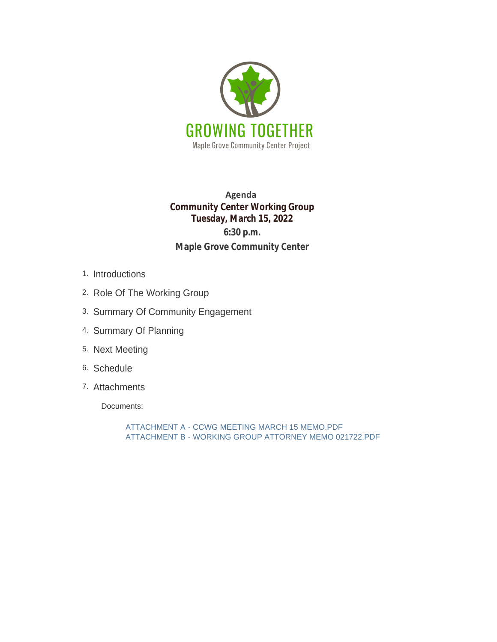

## **Agenda Community Center Working Group Tuesday, March 15, 2022 6:30 p.m. Maple Grove Community Center**

- Introductions 1.
- 2. Role Of The Working Group
- 3. Summary Of Community Engagement
- 4. Summary Of Planning
- 5. Next Meeting
- 6. Schedule
- 7. Attachments

Documents:

ATTACHMENT A - CCWG MEETING MARCH 15 MEMO.PDF ATTACHMENT B - WORKING GROUP ATTORNEY MEMO 021722.PDF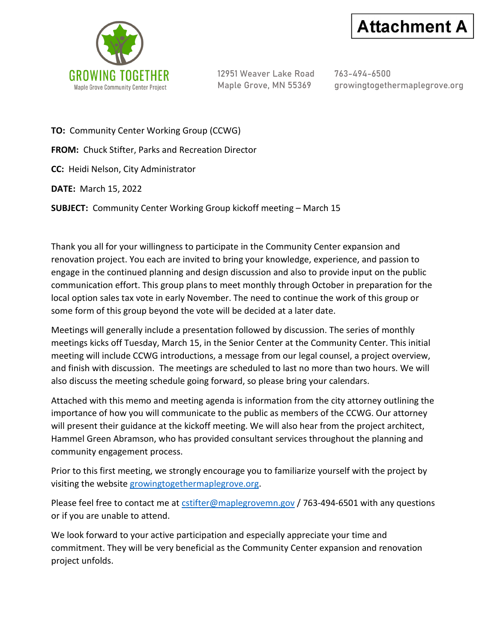



12951 Weaver Lake Road 763-494-6500

Maple Grove, MN 55369 growingtogethermaplegrove.org

**TO:** Community Center Working Group (CCWG)

**FROM:** Chuck Stifter, Parks and Recreation Director

**CC:** Heidi Nelson, City Administrator

**DATE:** March 15, 2022

**SUBJECT:** Community Center Working Group kickoff meeting – March 15

Thank you all for your willingness to participate in the Community Center expansion and renovation project. You each are invited to bring your knowledge, experience, and passion to engage in the continued planning and design discussion and also to provide input on the public communication effort. This group plans to meet monthly through October in preparation for the local option sales tax vote in early November. The need to continue the work of this group or some form of this group beyond the vote will be decided at a later date.

Meetings will generally include a presentation followed by discussion. The series of monthly meetings kicks off Tuesday, March 15, in the Senior Center at the Community Center. This initial meeting will include CCWG introductions, a message from our legal counsel, a project overview, and finish with discussion. The meetings are scheduled to last no more than two hours. We will also discuss the meeting schedule going forward, so please bring your calendars.

Attached with this memo and meeting agenda is information from the city attorney outlining the importance of how you will communicate to the public as members of the CCWG. Our attorney will present their guidance at the kickoff meeting. We will also hear from the project architect, Hammel Green Abramson, who has provided consultant services throughout the planning and community engagement process.

Prior to this first meeting, we strongly encourage you to familiarize yourself with the project by visiting the website [growingtogethermaplegrove.org.](http://growingtogethermaplegrove.org/)

Please feel free to contact me a[t cstifter@maplegrovemn.gov](mailto:cstifter@maplegrovemn.gov) / 763-494-6501 with any questions or if you are unable to attend.

We look forward to your active participation and especially appreciate your time and commitment. They will be very beneficial as the Community Center expansion and renovation project unfolds.